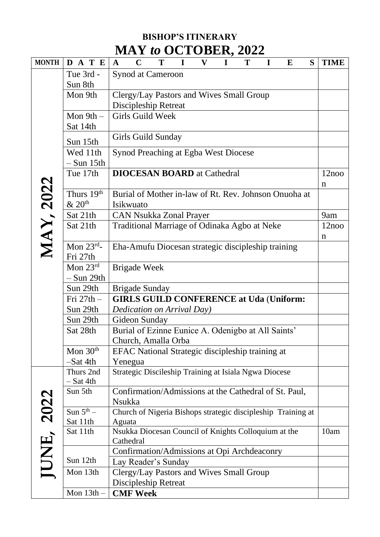## **BISHOP'S ITINERARY MAY** *to* **OCTOBER, 2022**

| <b>MONTH</b>     | D A T E                     | $\mathbf{V}$<br>$\mathbf I$<br>T<br>$\mathbf C$<br>T<br>$\mathbf{I}$<br>$\mathbf I$<br>S<br>$\bf{E}$<br>$\mathbf{A}$ | <b>TIME</b> |
|------------------|-----------------------------|----------------------------------------------------------------------------------------------------------------------|-------------|
|                  | Tue 3rd -                   | Synod at Cameroon                                                                                                    |             |
|                  | Sun 8th                     |                                                                                                                      |             |
|                  | Mon 9th                     | Clergy/Lay Pastors and Wives Small Group                                                                             |             |
|                  |                             | Discipleship Retreat                                                                                                 |             |
|                  | Mon $9th -$                 | Girls Guild Week                                                                                                     |             |
|                  | Sat 14th                    |                                                                                                                      |             |
|                  | Sun 15th                    | <b>Girls Guild Sunday</b>                                                                                            |             |
|                  | Wed 11th<br>$-$ Sun 15th    | Synod Preaching at Egba West Diocese                                                                                 |             |
|                  | Tue 17th                    | <b>DIOCESAN BOARD</b> at Cathedral                                                                                   | 12noo       |
|                  |                             |                                                                                                                      | n           |
|                  | Thurs 19 <sup>th</sup>      | Burial of Mother in-law of Rt. Rev. Johnson Onuoha at                                                                |             |
|                  | & 20 <sup>th</sup>          | Isikwuato                                                                                                            |             |
| <b>MAY, 2022</b> | Sat 21th                    | <b>CAN Nsukka Zonal Prayer</b>                                                                                       | 9am         |
|                  | Sat 21th                    | Traditional Marriage of Odinaka Agbo at Neke                                                                         | 12noo       |
|                  |                             |                                                                                                                      | $\mathbf n$ |
|                  | Mon $23^{\text{rd}}$ -      | Eha-Amufu Diocesan strategic discipleship training                                                                   |             |
|                  | Fri 27th                    |                                                                                                                      |             |
|                  | Mon $23^{\text{rd}}$        | <b>Brigade Week</b>                                                                                                  |             |
|                  | – Sun 29th                  |                                                                                                                      |             |
|                  | Sun 29th                    | <b>Brigade Sunday</b>                                                                                                |             |
|                  | $\operatorname{Fri} 27th$ – | <b>GIRLS GUILD CONFERENCE at Uda (Uniform:</b>                                                                       |             |
|                  | Sun 29th                    | Dedication on Arrival Day)                                                                                           |             |
|                  | Sun 29th                    | Gideon Sunday                                                                                                        |             |
|                  | Sat 28th                    | Burial of Ezinne Eunice A. Odenigbo at All Saints'                                                                   |             |
|                  |                             | Church, Amalla Orba                                                                                                  |             |
|                  | Mon $30th$                  | EFAC National Strategic discipleship training at                                                                     |             |
|                  | -Sat 4th                    | Yenegua                                                                                                              |             |
|                  | Thurs 2nd                   | Strategic Discileship Training at Isiala Ngwa Diocese                                                                |             |
|                  | – Sat 4th                   |                                                                                                                      |             |
|                  | Sun 5th                     | Confirmation/Admissions at the Cathedral of St. Paul,                                                                |             |
|                  |                             | <b>Nsukka</b>                                                                                                        |             |
| 2022             | Sun $5^{\text{th}}$ –       | Church of Nigeria Bishops strategic discipleship Training at                                                         |             |
| JUNE,            | Sat 11th                    | Aguata                                                                                                               |             |
|                  | Sat 11th                    | Nsukka Diocesan Council of Knights Colloquium at the<br>Cathedral                                                    | 10am        |
|                  |                             | Confirmation/Admissions at Opi Archdeaconry                                                                          |             |
|                  | Sun 12th                    | Lay Reader's Sunday                                                                                                  |             |
|                  | Mon 13th                    | Clergy/Lay Pastors and Wives Small Group                                                                             |             |
|                  |                             | Discipleship Retreat                                                                                                 |             |
|                  | Mon $13th -$                | <b>CMF Week</b>                                                                                                      |             |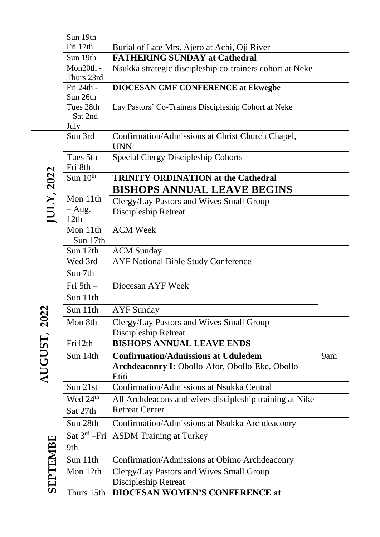|              | Sun 19th                         |                                                                |     |
|--------------|----------------------------------|----------------------------------------------------------------|-----|
|              | Fri 17th                         | Burial of Late Mrs. Ajero at Achi, Oji River                   |     |
|              | Sun 19th                         | <b>FATHERING SUNDAY at Cathedral</b>                           |     |
|              | Mon20th -<br>Thurs 23rd          | Nsukka strategic discipleship co-trainers cohort at Neke       |     |
|              | Fri 24th -<br>Sun 26th           | <b>DIOCESAN CMF CONFERENCE at Ekwegbe</b>                      |     |
|              | Tues 28th<br>$-$ Sat 2nd<br>July | Lay Pastors' Co-Trainers Discipleship Cohort at Neke           |     |
|              | Sun 3rd                          | Confirmation/Admissions at Christ Church Chapel,<br><b>UNN</b> |     |
|              | Tues $5th -$<br>Fri 8th          | <b>Special Clergy Discipleship Cohorts</b>                     |     |
|              | Sun $10th$                       | <b>TRINITY ORDINATION at the Cathedral</b>                     |     |
|              |                                  | <b>BISHOPS ANNUAL LEAVE BEGINS</b>                             |     |
| JULY, 2022   | Mon 11th                         | Clergy/Lay Pastors and Wives Small Group                       |     |
|              | $-$ Aug.<br>12th                 | <b>Discipleship Retreat</b>                                    |     |
|              | Mon 11th                         | <b>ACM Week</b>                                                |     |
|              | $-$ Sun 17th                     |                                                                |     |
|              | Sun 17th                         | <b>ACM</b> Sunday                                              |     |
|              | Wed $3rd -$                      | <b>AYF National Bible Study Conference</b>                     |     |
|              | Sun 7th                          |                                                                |     |
|              | Fri $5th$ –                      | Diocesan AYF Week                                              |     |
|              | Sun 11th                         |                                                                |     |
|              | Sun 11th                         | <b>AYF</b> Sunday                                              |     |
| $\mathbf{S}$ | Mon 8th                          | Clergy/Lay Pastors and Wives Small Group                       |     |
|              |                                  | Discipleship Retreat                                           |     |
|              | Fri12th                          | <b>BISHOPS ANNUAL LEAVE ENDS</b>                               |     |
|              | Sun 14th                         | <b>Confirmation/Admissions at Uduledem</b>                     | 9am |
| AUGUST,      |                                  | Archdeaconry I: Obollo-Afor, Obollo-Eke, Obollo-<br>Etiti      |     |
|              | Sun 21st                         | <b>Confirmation/Admissions at Nsukka Central</b>               |     |
|              | Wed $24^{\text{th}}$ –           | All Archdeacons and wives discipleship training at Nike        |     |
|              | Sat 27th                         | <b>Retreat Center</b>                                          |     |
|              | Sun 28th                         | Confirmation/Admissions at Nsukka Archdeaconry                 |     |
| SEPTEMBE     | Sat $3^{rd}$ -Fri                | <b>ASDM</b> Training at Turkey                                 |     |
|              | 9th                              |                                                                |     |
|              | Sun 11th                         | Confirmation/Admissions at Obimo Archdeaconry                  |     |
|              | Mon 12th                         | Clergy/Lay Pastors and Wives Small Group                       |     |
|              |                                  | Discipleship Retreat                                           |     |
|              | Thurs 15th                       | <b>DIOCESAN WOMEN'S CONFERENCE at</b>                          |     |